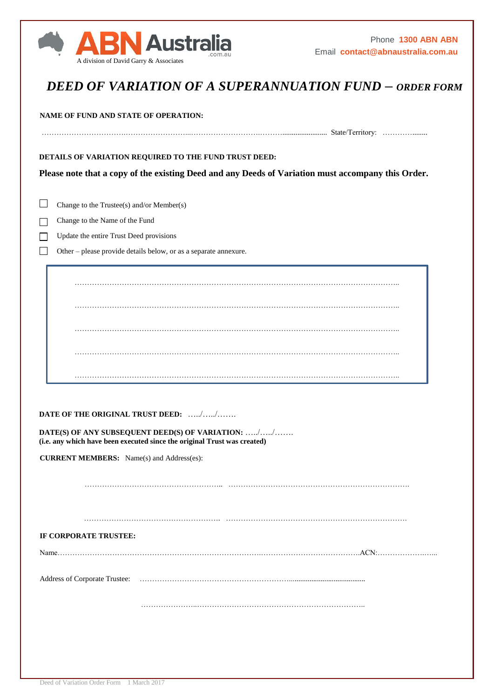

## *DEED OF VARIATION OF A SUPERANNUATION FUND – ORDER FORM*

**NAME OF FUND AND STATE OF OPERATION:**

…………………………….……………………...……………………….………........................ State/Territory: …………........

**DETAILS OF VARIATION REQUIRED TO THE FUND TRUST DEED:**

**Please note that a copy of the existing Deed and any Deeds of Variation must accompany this Order.**

 $\Box$ Change to the Trustee(s) and/or Member(s)

Change to the Name of the Fund

 $\Box$ 

Update the entire Trust Deed provisions  $\Box$ 

Other – please provide details below, or as a separate annexure.

………………………………………………………………………………………………………………….. ………………………………………………………………………………………………………………….. ………………………………………………………………………………………………………………….. ………………………………………………………………………………………………………………….. …………………………………………………………………………………………………………………..

**DATE OF THE ORIGINAL TRUST DEED:** …../…../…….

**DATE(S) OF ANY SUBSEQUENT DEED(S) OF VARIATION:** …../…../……. **(i.e. any which have been executed since the original Trust was created)**

**CURRENT MEMBERS:** Name(s) and Address(es):

……………………………………………….. ……………………………………………………………….

………………………………………………. ……………………………………………………………….

**IF CORPORATE TRUSTEE:**

Name……………………………………………………………………….………………………………….ACN:……………….…...

Address of Corporate Trustee: …………………………………………………….........................................

…………………..…………………………………………………………..